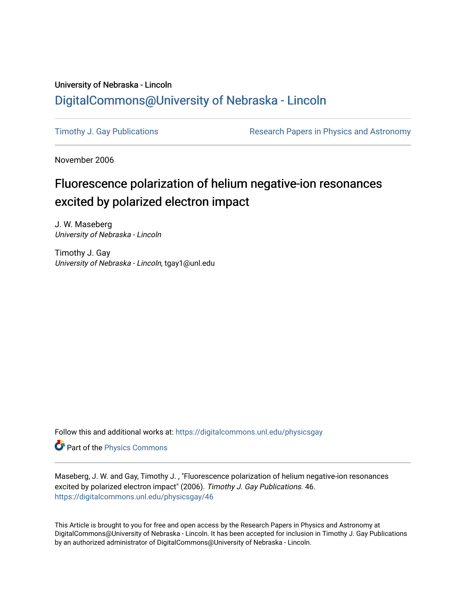# University of Nebraska - Lincoln [DigitalCommons@University of Nebraska - Lincoln](https://digitalcommons.unl.edu/)

[Timothy J. Gay Publications](https://digitalcommons.unl.edu/physicsgay) **Research Papers in Physics and Astronomy** 

November 2006

# Fluorescence polarization of helium negative-ion resonances excited by polarized electron impact

J. W. Maseberg University of Nebraska - Lincoln

Timothy J. Gay University of Nebraska - Lincoln, tgay1@unl.edu

Follow this and additional works at: [https://digitalcommons.unl.edu/physicsgay](https://digitalcommons.unl.edu/physicsgay?utm_source=digitalcommons.unl.edu%2Fphysicsgay%2F46&utm_medium=PDF&utm_campaign=PDFCoverPages)

Part of the [Physics Commons](http://network.bepress.com/hgg/discipline/193?utm_source=digitalcommons.unl.edu%2Fphysicsgay%2F46&utm_medium=PDF&utm_campaign=PDFCoverPages)

Maseberg, J. W. and Gay, Timothy J. , "Fluorescence polarization of helium negative-ion resonances excited by polarized electron impact" (2006). Timothy J. Gay Publications. 46. [https://digitalcommons.unl.edu/physicsgay/46](https://digitalcommons.unl.edu/physicsgay/46?utm_source=digitalcommons.unl.edu%2Fphysicsgay%2F46&utm_medium=PDF&utm_campaign=PDFCoverPages) 

This Article is brought to you for free and open access by the Research Papers in Physics and Astronomy at DigitalCommons@University of Nebraska - Lincoln. It has been accepted for inclusion in Timothy J. Gay Publications by an authorized administrator of DigitalCommons@University of Nebraska - Lincoln.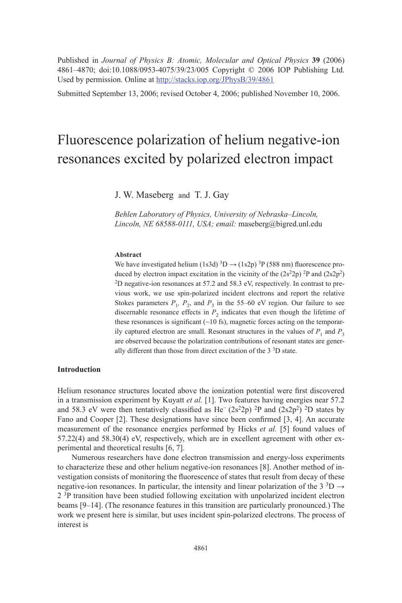Published in *Journal of Physics B: Atomic, Molecular and Optical Physics* **39** (2006) 4861–4870; doi:10.1088/0953-4075/39/23/005 Copyright © 2006 IOP Publishing Ltd. Used by permission. Online at http://stacks.iop.org/JPhysB/39/4861

Submitted September 13, 2006; revised October 4, 2006; published November 10, 2006.

# Fluorescence polarization of helium negative-ion resonances excited by polarized electron impact

J. W. Maseberg and T. J. Gay

*Behlen Laboratory of Physics, University of Nebraska–Lincoln, Lincoln, NE 68588-0111, USA; email:* maseberg@bigred.unl.edu

#### **Abstract**

We have investigated helium (1s3d)  ${}^{3}D \rightarrow (1s2p) {}^{3}P$  (588 nm) fluorescence produced by electron impact excitation in the vicinity of the  $(2s^22p)^2P$  and  $(2s2p^2)$ 2D negative-ion resonances at 57.2 and 58.3 eV, respectively. In contrast to previous work, we use spin-polarized incident electrons and report the relative Stokes parameters  $P_1$ ,  $P_2$ , and  $P_3$  in the 55–60 eV region. Our failure to see discernable resonance effects in  $P_2$  indicates that even though the lifetime of these resonances is significant  $(\sim 10 \text{ fs})$ , magnetic forces acting on the temporarily captured electron are small. Resonant structures in the values of  $P_1$  and  $P_3$ are observed because the polarization contributions of resonant states are generally different than those from direct excitation of the 3 3D state.

# **Introduction**

Helium resonance structures located above the ionization potential were first discovered in a transmission experiment by Kuyatt *et al.* [1]. Two features having energies near 57.2 and 58.3 eV were then tentatively classified as He<sup>-</sup> (2s<sup>2</sup>2p) <sup>2</sup>P and (2s2p<sup>2</sup>) <sup>2</sup>D states by Fano and Cooper  $[2]$ . These designations have since been confirmed  $[3, 4]$ . An accurate measurement of the resonance energies performed by Hicks *et al.* [5] found values of 57.22(4) and 58.30(4) eV, respectively, which are in excellent agreement with other experimental and theoretical results [6, 7].

Numerous researchers have done electron transmission and energy-loss experiments to characterize these and other helium negative-ion resonances [8]. Another method of investigation consists of monitoring the fluorescence of states that result from decay of these negative-ion resonances. In particular, the intensity and linear polarization of the 3<sup>3</sup>D  $\rightarrow$ 2<sup>3</sup>P transition have been studied following excitation with unpolarized incident electron beams [9–14]. (The resonance features in this transition are particularly pronounced.) The work we present here is similar, but uses incident spin-polarized electrons. The process of interest is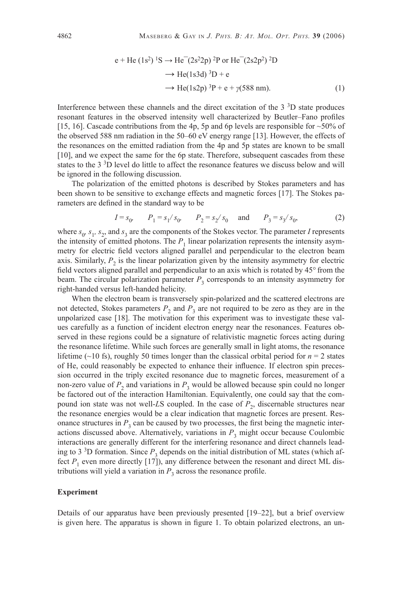$$
e + He (1s2)1S \rightarrow He-(2s22p)2P or He-(2s2p2)2D
$$
  
\n
$$
\rightarrow He(1s3d)3D + e
$$
  
\n
$$
\rightarrow He(1s2p)3P + e + \gamma(588 \text{ nm}).
$$
 (1)

Interference between these channels and the direct excitation of the  $3<sup>3</sup>D$  state produces resonant features in the observed intensity well characterized by Beutler–Fano profiles [15, 16]. Cascade contributions from the 4p, 5p and 6p levels are responsible for  $\sim$  50% of the observed 588 nm radiation in the 50–60 eV energy range [13]. However, the effects of the resonances on the emitted radiation from the 4p and 5p states are known to be small [10], and we expect the same for the 6p state. Therefore, subsequent cascades from these states to the 3 3D level do little to affect the resonance features we discuss below and will be ignored in the following discussion.

The polarization of the emitted photons is described by Stokes parameters and has been shown to be sensitive to exchange effects and magnetic forces [17]. The Stokes parameters are defined in the standard way to be

$$
I = s_0, \qquad P_1 = s_1 / s_0, \qquad P_2 = s_2 / s_0 \quad \text{and} \qquad P_3 = s_3 / s_0,
$$
 (2)

where  $s_0$ ,  $s_1$ ,  $s_2$ , and  $s_3$  are the components of the Stokes vector. The parameter *I* represents the intensity of emitted photons. The  $P_1$  linear polarization represents the intensity asymmetry for electric field vectors aligned parallel and perpendicular to the electron beam axis. Similarly,  $P_2$  is the linear polarization given by the intensity asymmetry for electric field vectors aligned parallel and perpendicular to an axis which is rotated by 45° from the beam. The circular polarization parameter  $P_3$  corresponds to an intensity asymmetry for right-handed versus left-handed helicity.

When the electron beam is transversely spin-polarized and the scattered electrons are not detected, Stokes parameters  $P_2$  and  $P_3$  are not required to be zero as they are in the unpolarized case [18]. The motivation for this experiment was to investigate these values carefully as a function of incident electron energy near the resonances. Features observed in these regions could be a signature of relativistic magnetic forces acting during the resonance lifetime. While such forces are generally small in light atoms, the resonance lifetime ( $\sim$ 10 fs), roughly 50 times longer than the classical orbital period for  $n = 2$  states of He, could reasonably be expected to enhance their influence. If electron spin precession occurred in the triply excited resonance due to magnetic forces, measurement of a non-zero value of  $P_2$  and variations in  $P_3$  would be allowed because spin could no longer be factored out of the interaction Hamiltonian. Equivalently, one could say that the compound ion state was not well-*LS* coupled. In the case of  $P_2$ , discernable structures near the resonance energies would be a clear indication that magnetic forces are present. Resonance structures in  $P_3$  can be caused by two processes, the first being the magnetic interactions discussed above. Alternatively, variations in  $P_3$  might occur because Coulombic interactions are generally different for the interfering resonance and direct channels leading to 3<sup>3</sup>D formation. Since  $P_3$  depends on the initial distribution of ML states (which affect  $P_1$  even more directly [17]), any difference between the resonant and direct ML distributions will yield a variation in  $P_3$  across the resonance profile.

#### **Experiment**

Details of our apparatus have been previously presented [19–22], but a brief overview is given here. The apparatus is shown in figure 1. To obtain polarized electrons, an un-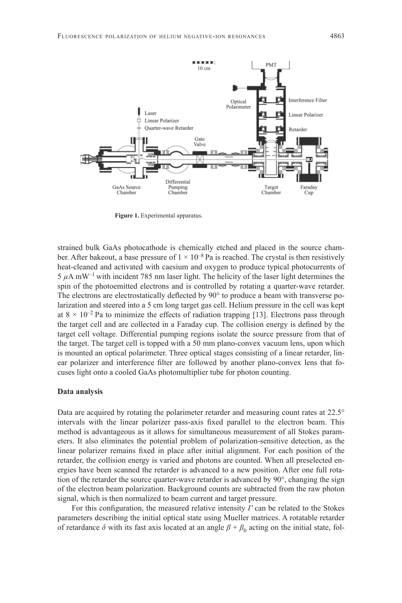

**Figure 1.** Experimental apparatus.

strained bulk GaAs photocathode is chemically etched and placed in the source chamber. After bakeout, a base pressure of  $1 \times 10^{-8}$  Pa is reached. The crystal is then resistively heat-cleaned and activated with caesium and oxygen to produce typical photocurrents of  $5 \mu A$  mW<sup>-1</sup> with incident 785 nm laser light. The helicity of the laser light determines the spin of the photoemitted electrons and is controlled by rotating a quarter-wave retarder. The electrons are electrostatically deflected by 90° to produce a beam with transverse polarization and steered into a 5 cm long target gas cell. Helium pressure in the cell was kept at  $8 \times 10^{-2}$  Pa to minimize the effects of radiation trapping [13]. Electrons pass through the target cell and are collected in a Faraday cup. The collision energy is defined by the target cell voltage. Differential pumping regions isolate the source pressure from that of the target. The target cell is topped with a 50 mm plano-convex vacuum lens, upon which is mounted an optical polarimeter. Three optical stages consisting of a linear retarder, linear polarizer and interference filter are followed by another plano-convex lens that focuses light onto a cooled GaAs photomultiplier tube for photon counting.

#### **Data analysis**

Data are acquired by rotating the polarimeter retarder and measuring count rates at 22.5° intervals with the linear polarizer pass-axis fixed parallel to the electron beam. This method is advantageous as it allows for simultaneous measurement of all Stokes parameters. It also eliminates the potential problem of polarization-sensitive detection, as the linear polarizer remains fixed in place after initial alignment. For each position of the retarder, the collision energy is varied and photons are counted. When all preselected energies have been scanned the retarder is advanced to a new position. After one full rotation of the retarder the source quarter-wave retarder is advanced by 90°, changing the sign of the electron beam polarization. Background counts are subtracted from the raw photon signal, which is then normalized to beam current and target pressure.

For this configuration, the measured relative intensity *I'* can be related to the Stokes parameters describing the initial optical state using Mueller matrices. A rotatable retarder of retardance  $\delta$  with its fast axis located at an angle  $\beta + \beta_0$  acting on the initial state, fol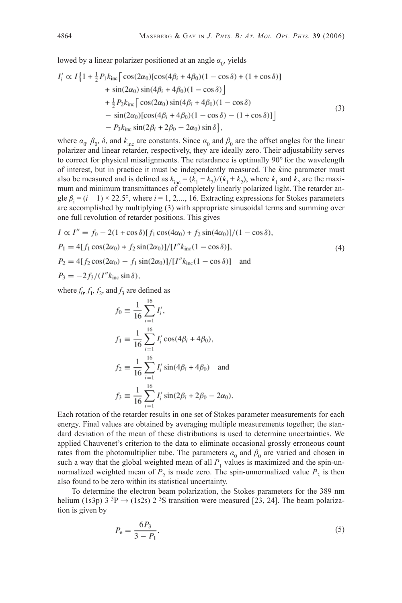lowed by a linear polarizer positioned at an angle  $\alpha_0$ , yields

$$
I'_i \propto I\{1 + \frac{1}{2}P_1k_{\rm inc} \left[ \cos(2\alpha_0) [\cos(4\beta_i + 4\beta_0)(1 - \cos \delta) + (1 + \cos \delta)] + \sin(2\alpha_0) \sin(4\beta_i + 4\beta_0)(1 - \cos \delta) \right] + \frac{1}{2}P_2k_{\rm inc} \left[ \cos(2\alpha_0) \sin(4\beta_i + 4\beta_0)(1 - \cos \delta) - \sin(2\alpha_0) [\cos(4\beta_i + 4\beta_0)(1 - \cos \delta) - (1 + \cos \delta)] \right] - P_3k_{\rm inc} \sin(2\beta_i + 2\beta_0 - 2\alpha_0) \sin \delta \},
$$
\n(3)

where  $\alpha_0$ ,  $\beta_0$ ,  $\delta$ , and  $k_{\text{inc}}$  are constants. Since  $\alpha_0$  and  $\beta_0$  are the offset angles for the linear polarizer and linear retarder, respectively, they are ideally zero. Their adjustability serves to correct for physical misalignments. The retardance is optimally 90° for the wavelength of interest, but in practice it must be independently measured. The *k*inc parameter must also be measured and is defined as  $k_{\text{inc}} = (k_1 - k_2)/(k_1 + k_2)$ , where  $k_1$  and  $k_2$  are the maximum and minimum transmittances of completely linearly polarized light. The retarder angle  $\beta_i = (i - 1) \times 22.5^\circ$ , where  $i = 1, 2,..., 16$ . Extracting expressions for Stokes parameters are accomplished by multiplying (3) with appropriate sinusoidal terms and summing over one full revolution of retarder positions. This gives

$$
I \propto I'' = f_0 - 2(1 + \cos \delta)[f_1 \cos(4\alpha_0) + f_2 \sin(4\alpha_0)]/(1 - \cos \delta),
$$
  
\n
$$
P_1 = 4[f_1 \cos(2\alpha_0) + f_2 \sin(2\alpha_0)]/[I''k_{\text{inc}}(1 - \cos \delta)],
$$
  
\n
$$
P_2 = 4[f_2 \cos(2\alpha_0) - f_1 \sin(2\alpha_0)]/[I''k_{\text{inc}}(1 - \cos \delta)]
$$
 and

 $P_3 = -2f_3/(I''k_{\text{inc}}\sin\delta),$ 

where  $f_0$ ,  $f_1$ ,  $f_2$ , and  $f_3$  are defined as

$$
f_0 \equiv \frac{1}{16} \sum_{i=1}^{16} I'_i,
$$
  
\n
$$
f_1 \equiv \frac{1}{16} \sum_{i=1}^{16} I'_i \cos(4\beta_i + 4\beta_0),
$$
  
\n
$$
f_2 \equiv \frac{1}{16} \sum_{i=1}^{16} I'_i \sin(4\beta_i + 4\beta_0) \text{ and}
$$
  
\n
$$
f_3 \equiv \frac{1}{16} \sum_{i=1}^{16} I'_i \sin(2\beta_i + 2\beta_0 - 2\alpha_0).
$$

Each rotation of the retarder results in one set of Stokes parameter measurements for each energy. Final values are obtained by averaging multiple measurements together; the standard deviation of the mean of these distributions is used to determine uncertainties. We applied Chauvenet's criterion to the data to eliminate occasional grossly erroneous count rates from the photomultiplier tube. The parameters  $\alpha_0$  and  $\beta_0$  are varied and chosen in such a way that the global weighted mean of all  $P_1$  values is maximized and the spin-unnormalized weighted mean of  $P_2$  is made zero. The spin-unnormalized value  $P_3$  is then also found to be zero within its statistical uncertainty.

To determine the electron beam polarization, the Stokes parameters for the 389 nm helium (1s3p)  $3^{3}P \rightarrow (1s2s) 2^{3}S$  transition were measured [23, 24]. The beam polarization is given by

$$
P_e = \frac{6P_3}{3 - P_1}.\tag{5}
$$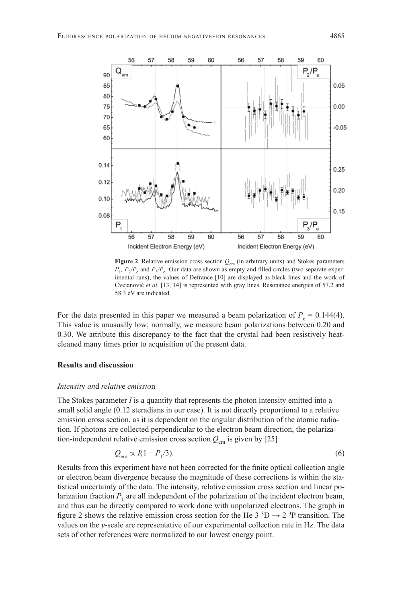

**Figure 2**. Relative emission cross section  $Q_{em}$  (in arbitrary units) and Stokes parameters  $P_1$ ,  $P_2/P_e$  and  $P_3/P_e$ . Our data are shown as empty and filled circles (two separate experimental runs), the values of Defrance [10] are displayed as black lines and the work of Cvejanović *et al.* [13, 14] is represented with gray lines. Resonance energies of 57.2 and 58.3 eV are indicated.

For the data presented in this paper we measured a beam polarization of  $P_e = 0.144(4)$ . This value is unusually low; normally, we measure beam polarizations between 0*.*20 and 0*.*30. We attribute this discrepancy to the fact that the crystal had been resistively heatcleaned many times prior to acquisition of the present data.

# **Results and discussion**

#### *Intensit*y *an*d *relativ*e *emissio*n

The Stokes parameter *I* is a quantity that represents the photon intensity emitted into a small solid angle  $(0.12$  steradians in our case). It is not directly proportional to a relative emission cross section, as it is dependent on the angular distribution of the atomic radiation. If photons are collected perpendicular to the electron beam direction, the polarization-independent relative emission cross section  $Q_{\text{em}}$  is given by [25]

$$
Q_{\rm em} \propto I(1 - P_1/3). \tag{6}
$$

Results from this experiment have not been corrected for the finite optical collection angle or electron beam divergence because the magnitude of these corrections is within the statistical uncertainty of the data. The intensity, relative emission cross section and linear polarization fraction  $P_1$  are all independent of the polarization of the incident electron beam, and thus can be directly compared to work done with unpolarized electrons. The graph in figure 2 shows the relative emission cross section for the He 3<sup>3</sup>D  $\rightarrow$  2<sup>3</sup>P transition. The values on the *y*-scale are representative of our experimental collection rate in Hz. The data sets of other references were normalized to our lowest energy point.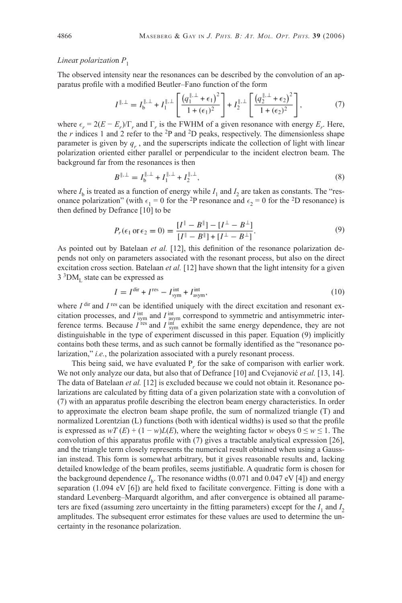### *Linea*r *polarizatio*n *P*<sup>1</sup>

The observed intensity near the resonances can be described by the convolution of an apparatus profile with a modified Beutler–Fano function of the form

$$
I^{\|\ldots\|} = I_{\mathfrak{b}}^{\|\ldots\|} + I_1^{\|\ldots\|} \left[ \frac{\left( q_1^{\|\ldots\|} + \epsilon_1 \right)^2}{1 + (\epsilon_1)^2} \right] + I_2^{\|\ldots\|} \left[ \frac{\left( q_2^{\|\ldots\|} + \epsilon_2 \right)^2}{1 + (\epsilon_2)^2} \right],\tag{7}
$$

where  $\epsilon_r = 2(E - E_r)/\Gamma_r$  and  $\Gamma_r$  is the FWHM of a given resonance with energy  $E_r$ . Here, the  $r$  indices 1 and 2 refer to the  $2P$  and  $2D$  peaks, respectively. The dimensionless shape parameter is given by  $q_r$ , and the superscripts indicate the collection of light with linear polarization oriented either parallel or perpendicular to the incident electron beam. The background far from the resonances is then

$$
B^{\|\ldots\|} = I_{\mathbf{b}}^{\|\ldots\|} + I_1^{\|\ldots\|} + I_2^{\|\ldots\|},\tag{8}
$$

where  $I<sub>b</sub>$  is treated as a function of energy while  $I<sub>1</sub>$  and  $I<sub>2</sub>$  are taken as constants. The "resonance polarization" (with  $\epsilon_1 = 0$  for the <sup>2</sup>P resonance and  $\epsilon_2 = 0$  for the <sup>2</sup>D resonance) is then defined by Defrance  $[10]$  to be

$$
P_r(\epsilon_1 \text{ or } \epsilon_2 = 0) = \frac{[I^{\parallel} - B^{\parallel}] - [I^{\perp} - B^{\perp}]}{[I^{\parallel} - B^{\parallel}] + [I^{\perp} - B^{\perp}]}.
$$
\n(9)

As pointed out by Batelaan *et al.* [12], this definition of the resonance polarization depends not only on parameters associated with the resonant process, but also on the direct excitation cross section. Batelaan *et al.* [12] have shown that the light intensity for a given  $3<sup>3</sup>DM<sub>L</sub>$  state can be expressed as

$$
I = Idir + Ires - Iintsym + Iintasym,
$$
\n(10)

where  $I^{\text{dir}}$  and  $I^{\text{res}}$  can be identified uniquely with the direct excitation and resonant excitation processes, and  $I_{sym}^{int}$  and  $I_{sym}^{int}$  correspond to symmetric and antisymmetric interference terms. Because  $I^{\text{res}}$  and  $I^{\text{inf}}_{\text{sym}}$  exhibit the same energy dependence, they are not distinguishable in the type of experiment discussed in this paper. Equation (9) implicitly contains both these terms, and as such cannot be formally identified as the "resonance polarization," *i.e.*, the polarization associated with a purely resonant process.

This being said, we have evaluated  $P_r$  for the sake of comparison with earlier work. We not only analyze our data, but also that of Defrance [10] and Cvejanović *et al.* [13, 14]. The data of Batelaan *et al.* [12] is excluded because we could not obtain it. Resonance polarizations are calculated by fitting data of a given polarization state with a convolution of (7) with an apparatus profile describing the electron beam energy characteristics. In order to approximate the electron beam shape profile, the sum of normalized triangle  $(T)$  and normalized Lorentzian (L) functions (both with identical widths) is used so that the profile is expressed as  $wT(E) + (1 - w)L(E)$ , where the weighting factor *w* obeys  $0 \le w \le 1$ . The convolution of this apparatus profile with  $(7)$  gives a tractable analytical expression [26], and the triangle term closely represents the numerical result obtained when using a Gaussian instead. This form is somewhat arbitrary, but it gives reasonable results and, lacking detailed knowledge of the beam profiles, seems justifiable. A quadratic form is chosen for the background dependence  $I_{\rm b}$ . The resonance widths (0.071 and 0.047 eV [4]) and energy separation (1.094 eV  $[6]$ ) are held fixed to facilitate convergence. Fitting is done with a standard Levenberg–Marquardt algorithm, and after convergence is obtained all parameters are fixed (assuming zero uncertainty in the fitting parameters) except for the  $I_1$  and  $I_2$ amplitudes. The subsequent error estimates for these values are used to determine the uncertainty in the resonance polarization.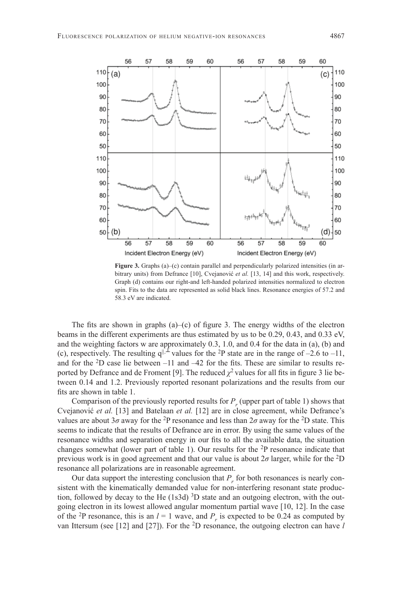

**Figure 3.** Graphs (a)–(c) contain parallel and perpendicularly polarized intensities (in arbitrary units) from Defrance [10], Cvejanović et al. [13, 14] and this work, respectively. Graph (d) contains our right-and left-handed polarized intensities normalized to electron spin. Fits to the data are represented as solid black lines. Resonance energies of 57.2 and 58.3 eV are indicated.

The fits are shown in graphs  $(a)$ – $(c)$  of figure 3. The energy widths of the electron beams in the different experiments are thus estimated by us to be 0.29, 0.43, and 0.33 eV, and the weighting factors w are approximately 0.3, 1.0, and 0.4 for the data in (a), (b) and (c), respectively. The resulting  $q^{||,L}$  values for the <sup>2</sup>P state are in the range of –2.6 to –11, and for the  $2D$  case lie between  $-11$  and  $-42$  for the fits. These are similar to results reported by Defrance and de Froment [9]. The reduced  $\chi^2$  values for all fits in figure 3 lie between 0.14 and 1.2. Previously reported resonant polarizations and the results from our fits are shown in table 1.

Comparison of the previously reported results for  $P_r$  (upper part of table 1) shows that Cvejanović *et al.* [13] and Batelaan *et al.* [12] are in close agreement, while Defrance's values are about 3*σ* away for the <sup>2</sup>P resonance and less than  $2\sigma$  away for the <sup>2</sup>D state. This seems to indicate that the results of Defrance are in error. By using the same values of the resonance widths and separation energy in our fits to all the available data, the situation changes somewhat (lower part of table 1). Our results for the 2P resonance indicate that previous work is in good agreement and that our value is about 2*σ* larger, while for the 2D resonance all polarizations are in reasonable agreement.

Our data support the interesting conclusion that  $P_r$  for both resonances is nearly consistent with the kinematically demanded value for non-interfering resonant state production, followed by decay to the He  $(1s3d)$ <sup>3</sup>D state and an outgoing electron, with the outgoing electron in its lowest allowed angular momentum partial wave [10, 12]. In the case of the <sup>2</sup>P resonance, this is an  $l = 1$  wave, and  $P_r$  is expected to be 0.24 as computed by van Ittersum (see [12] and [27]). For the 2D resonance, the outgoing electron can have *l*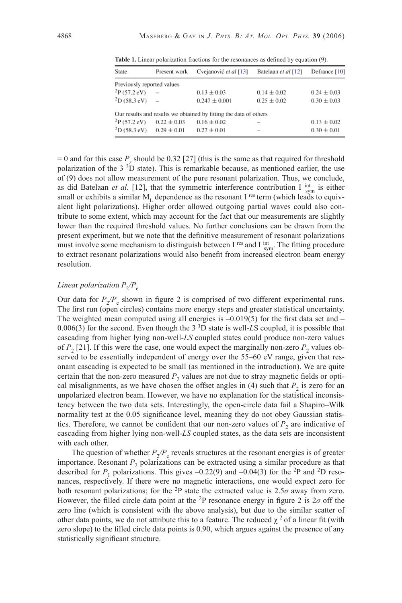| State                      | Present work             | Cvejanović et al [13]                                             | Batelaan et al [12] | Defrance [10]   |
|----------------------------|--------------------------|-------------------------------------------------------------------|---------------------|-----------------|
| Previously reported values |                          |                                                                   |                     |                 |
| $^{2}P(57.2$ eV)           | $\overline{\phantom{m}}$ | $0.13 \pm 0.03$                                                   | $0.14 \pm 0.02$     | $0.24 \pm 0.03$ |
| ${}^{2}D(58.3 \text{ eV})$ | $\overline{\phantom{a}}$ | $0.247 \pm 0.001$                                                 | $0.25 \pm 0.02$     | $0.30 \pm 0.03$ |
|                            |                          | Our results and results we obtained by fitting the data of others |                     |                 |
| $^{2}P(57.2$ eV)           | $0.22 \pm 0.03$          | $0.16 \pm 0.02$                                                   |                     | $0.13 \pm 0.02$ |
| ${}^{2}D(58.3 \text{ eV})$ | $0.29 \pm 0.01$          | $0.27 \pm 0.01$                                                   |                     | $0.30 \pm 0.01$ |

Table 1. Linear polarization fractions for the resonances as defined by equation (9).

 $= 0$  and for this case  $P_r$  should be 0.32 [27] (this is the same as that required for threshold polarization of the  $3\,{}^{3}D$  state). This is remarkable because, as mentioned earlier, the use of (9) does not allow measurement of the pure resonant polarization. Thus, we conclude, as did Batelaan *et al.* [12], that the symmetric interference contribution I  $_{sym}^{int}$  is either small or exhibits a similar  $M<sub>L</sub>$  dependence as the resonant I <sup>res</sup> term (which leads to equivalent light polarizations). Higher order allowed outgoing partial waves could also contribute to some extent, which may account for the fact that our measurements are slightly lower than the required threshold values. No further conclusions can be drawn from the present experiment, but we note that the definitive measurement of resonant polarizations must involve some mechanism to distinguish between I <sup>res</sup> and I  $_{sym}^{int}$ . The fitting procedure to extract resonant polarizations would also benefit from increased electron beam energy resolution.

# *Linear polarization*  $P_2/P_e$

Our data for  $P_2/P_e$  shown in figure 2 is comprised of two different experimental runs. The first run (open circles) contains more energy steps and greater statistical uncertainty. The weighted mean computed using all energies is  $-0.019(5)$  for the first data set and  $-$ 0.006(3) for the second. Even though the 3 3D state is well-*L*S coupled, it is possible that cascading from higher lying non-well-*LS* coupled states could produce non-zero values of  $P_2$  [21]. If this were the case, one would expect the marginally non-zero  $P_2$  values observed to be essentially independent of energy over the 55–60 eV range, given that resonant cascading is expected to be small (as mentioned in the introduction). We are quite certain that the non-zero measured  $P_2$  values are not due to stray magnetic fields or optical misalignments, as we have chosen the offset angles in  $(4)$  such that  $P<sub>2</sub>$  is zero for an unpolarized electron beam. However, we have no explanation for the statistical inconsistency between the two data sets. Interestingly, the open-circle data fail a Shapiro–Wilk normality test at the 0.05 significance level, meaning they do not obey Gaussian statistics. Therefore, we cannot be confident that our non-zero values of  $P<sub>2</sub>$  are indicative of cascading from higher lying non-well-*LS* coupled states, as the data sets are inconsistent with each other.

The question of whether  $P_2/P_e$  reveals structures at the resonant energies is of greater importance. Resonant  $P_2$  polarizations can be extracted using a similar procedure as that described for  $P_1$  polarizations. This gives  $-0.22(9)$  and  $-0.04(3)$  for the <sup>2</sup>P and <sup>2</sup>D resonances, respectively. If there were no magnetic interactions, one would expect zero for both resonant polarizations; for the <sup>2</sup>P state the extracted value is  $2.5\sigma$  away from zero. However, the filled circle data point at the <sup>2</sup>P resonance energy in figure 2 is  $2\sigma$  off the zero line (which is consistent with the above analysis), but due to the similar scatter of other data points, we do not attribute this to a feature. The reduced  $\chi^2$  of a linear fit (with zero slope) to the filled circle data points is 0.90, which argues against the presence of any statistically significant structure.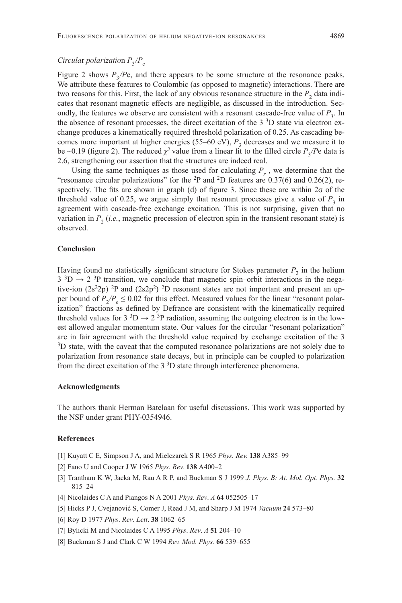# *Circular polarization*  $P_3/P_e$

Figure 2 shows  $P_3/P$ e, and there appears to be some structure at the resonance peaks. We attribute these features to Coulombic (as opposed to magnetic) interactions. There are two reasons for this. First, the lack of any obvious resonance structure in the  $P<sub>2</sub>$  data indicates that resonant magnetic effects are negligible, as discussed in the introduction. Secondly, the features we observe are consistent with a resonant cascade-free value of  $P_3$ . In the absence of resonant processes, the direct excitation of the  $3<sup>3</sup>D$  state via electron exchange produces a kinematically required threshold polarization of 0.25. As cascading becomes more important at higher energies (55–60 eV),  $P_3$  decreases and we measure it to be ~0.19 (figure 2). The reduced  $\chi^2$  value from a linear fit to the filled circle  $P_3$ */Pe* data is 2.6, strengthening our assertion that the structures are indeed real.

Using the same techniques as those used for calculating  $P_r$ , we determine that the "resonance circular polarizations" for the  $^{2}P$  and  $^{2}D$  features are 0.37(6) and 0.26(2), respectively. The fits are shown in graph (d) of figure 3. Since these are within  $2\sigma$  of the threshold value of 0.25, we argue simply that resonant processes give a value of  $P_3$  in agreement with cascade-free exchange excitation. This is not surprising, given that no variation in  $P_2$  (*i.e.*, magnetic precession of electron spin in the transient resonant state) is observed.

#### **Conclusion**

Having found no statistically significant structure for Stokes parameter  $P_2$  in the helium  $3 \text{ }^{3}D \rightarrow 2 \text{ }^{3}P$  transition, we conclude that magnetic spin–orbit interactions in the negative-ion  $(2s^22p)^2P$  and  $(2s2p^2)^2D$  resonant states are not important and present an upper bound of  $P_2/P_2 \leq 0.02$  for this effect. Measured values for the linear "resonant polarization" fractions as defined by Defrance are consistent with the kinematically required threshold values for 3  $^3D \rightarrow 2$  <sup>3</sup>P radiation, assuming the outgoing electron is in the lowest allowed angular momentum state. Our values for the circular "resonant polarization" are in fair agreement with the threshold value required by exchange excitation of the 3 <sup>3</sup>D state, with the caveat that the computed resonance polarizations are not solely due to polarization from resonance state decays, but in principle can be coupled to polarization from the direct excitation of the  $3<sup>3</sup>D$  state through interference phenomena.

### **Acknowledgments**

The authors thank Herman Batelaan for useful discussions. This work was supported by the NSF under grant PHY-0354946.

# **References**

- [1] Kuyatt C E, Simpson J A, and Mielczarek S R 1965 *Phys. Rev.* **138** A385–99
- [2] Fano U and Cooper J W 1965 *Phys. Rev.* **138** A400–2
- [3] Trantham K W, Jacka M, Rau A R P, and Buckman S J 1999 *J. Phys. B: At. Mol. Opt. Phys.* **32** 815–24
- [4] Nicolaides C A and Piangos N A 2001 *Phys*. *Rev*. *A* **64** 052505–17
- [5] Hicks P J, Cvejanović S, Comer J, Read J M, and Sharp J M 1974 *Vacuum* **24** 573–80
- [6] Roy D 1977 *Phys*. *Rev*. *Lett*. **38** 1062–65
- [7] Bylicki M and Nicolaides C A 1995 *Phys*. *Rev*. *A* **51** 204–10
- [8] Buckman S J and Clark C W 1994 *Rev. Mod. Phys.* **66** 539–655